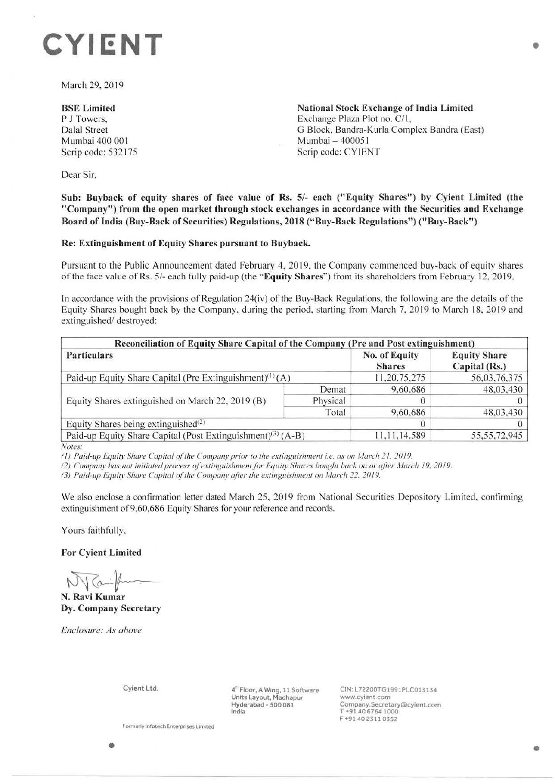# **CYIENT**

March 29, 2019

## **BSE Limited**  P J Towers, Dalal Street Mumbai 400 00 I Scrip code: 532175

**National Stock Exchange of India Limited**  Exchange Plaza Plot no. C/1, G Block, Bandra-Kurla Complex Bandra (East) Mumbai - 400051 Scrip code: CYIENT

Dear Sir,

**Sub: Buyback of equity shares of face value of Rs. 5/- each ("Equity Shares") by Cyient Limited (the "Company") from the open market through stock exchanges in accordance with the Securities and Exchange Board of India (Buy-Back of Securities) Regulations, 2018 ("Buy-Back Regulations") ("Buy-Back")** 

#### **Re: Extinguishment of Equity Shares pursuant to Buyback.**

Pursuant to the Public Announcement dated February 4, 2019. the Company commenced buy-back of equity shares of the face value of Rs. 5/- each fully paid-up (the **"Equity Shares")** from its shareholders from February 12, 2019.

In accordance with the provisions of Regulation 24(iv) of the Buy-Back Regulations, the following are the details of the Equity Shares bought back by the Company, during the period, starting from March 7, 2019 to March 18, 2019 and extinguished/ destroyed:

| Reconciliation of Equity Share Capital of the Company (Pre and Post extinguishment)<br><b>Particulars</b> | No. of Equity<br><b>Shares</b> | <b>Equity Share</b><br>Capital (Rs.) |                 |
|-----------------------------------------------------------------------------------------------------------|--------------------------------|--------------------------------------|-----------------|
| Paid-up Equity Share Capital (Pre Extinguishment) <sup>(1)</sup> (A)                                      | 11,20,75,275                   | 56,03,76,375                         |                 |
| Equity Shares extinguished on March 22, 2019 (B)                                                          | Demat                          | 9,60,686                             | 48,03,430       |
|                                                                                                           | Physical                       |                                      |                 |
|                                                                                                           | Total                          | 9,60,686                             | 48,03,430       |
| Equity Shares being extinguished $(2)$                                                                    |                                |                                      |                 |
| Paid-up Equity Share Capital (Post Extinguishment) <sup>(3)</sup> (A-B)                                   |                                | 11,11,14,589                         | 55, 55, 72, 945 |

*Notes:* 

( I ) *Paid-up Equizv Share Capital of 1/,e Company prior 10 11,e ex1i11guisl,111elll i.e. as on A/arch* 2 1. 201 9.

(2) Company has not initiated process of extinguishment for Equity Shares bought back on or after March 19, 2019.

(3) Paid-up Equity Share Capital of the Company after the extinguishment on March 22, 2019.

We also enclose a confirmation letter dated March 25, 2019 from National Securities Depository Limited, confirming extinguishment of 9,60,686 Equity Shares for your reference and records.

Yours faithfully,

**For Cyient Limited** 

~11---- **N. Ravi Kumar** 

**Dy. Company Secretary** 

*Enclosure: As above* 

Cyient Ltd.

4"' Floor, A Wing, 11 Software Units Layout, Madhapur Hyderabad - 500 081 India

CIN: L72200TG1991PLC013134 www.cyient.com Company.Secretary®cyient,com T +91 40 6764 1000 F •91 40 2311 0352